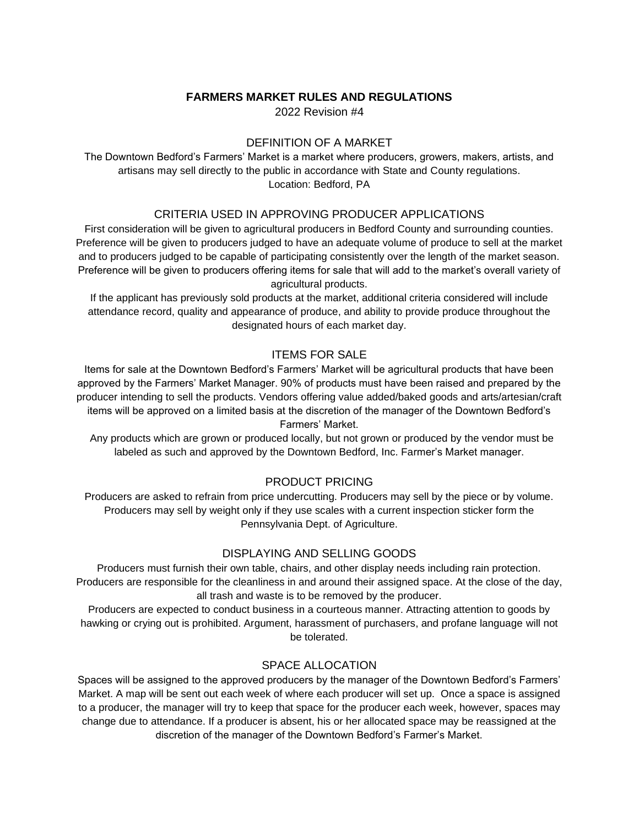# **FARMERS MARKET RULES AND REGULATIONS**

2022 Revision #4

### DEFINITION OF A MARKET

The Downtown Bedford's Farmers' Market is a market where producers, growers, makers, artists, and artisans may sell directly to the public in accordance with State and County regulations. Location: Bedford, PA

#### CRITERIA USED IN APPROVING PRODUCER APPLICATIONS

First consideration will be given to agricultural producers in Bedford County and surrounding counties. Preference will be given to producers judged to have an adequate volume of produce to sell at the market and to producers judged to be capable of participating consistently over the length of the market season. Preference will be given to producers offering items for sale that will add to the market's overall variety of agricultural products.

If the applicant has previously sold products at the market, additional criteria considered will include attendance record, quality and appearance of produce, and ability to provide produce throughout the designated hours of each market day.

### ITEMS FOR SALE

Items for sale at the Downtown Bedford's Farmers' Market will be agricultural products that have been approved by the Farmers' Market Manager. 90% of products must have been raised and prepared by the producer intending to sell the products. Vendors offering value added/baked goods and arts/artesian/craft items will be approved on a limited basis at the discretion of the manager of the Downtown Bedford's Farmers' Market.

 Any products which are grown or produced locally, but not grown or produced by the vendor must be labeled as such and approved by the Downtown Bedford, Inc. Farmer's Market manager.

#### PRODUCT PRICING

Producers are asked to refrain from price undercutting. Producers may sell by the piece or by volume. Producers may sell by weight only if they use scales with a current inspection sticker form the Pennsylvania Dept. of Agriculture.

### DISPLAYING AND SELLING GOODS

Producers must furnish their own table, chairs, and other display needs including rain protection. Producers are responsible for the cleanliness in and around their assigned space. At the close of the day, all trash and waste is to be removed by the producer.

Producers are expected to conduct business in a courteous manner. Attracting attention to goods by hawking or crying out is prohibited. Argument, harassment of purchasers, and profane language will not be tolerated.

# SPACE ALLOCATION

Spaces will be assigned to the approved producers by the manager of the Downtown Bedford's Farmers' Market. A map will be sent out each week of where each producer will set up. Once a space is assigned to a producer, the manager will try to keep that space for the producer each week, however, spaces may change due to attendance. If a producer is absent, his or her allocated space may be reassigned at the discretion of the manager of the Downtown Bedford's Farmer's Market.